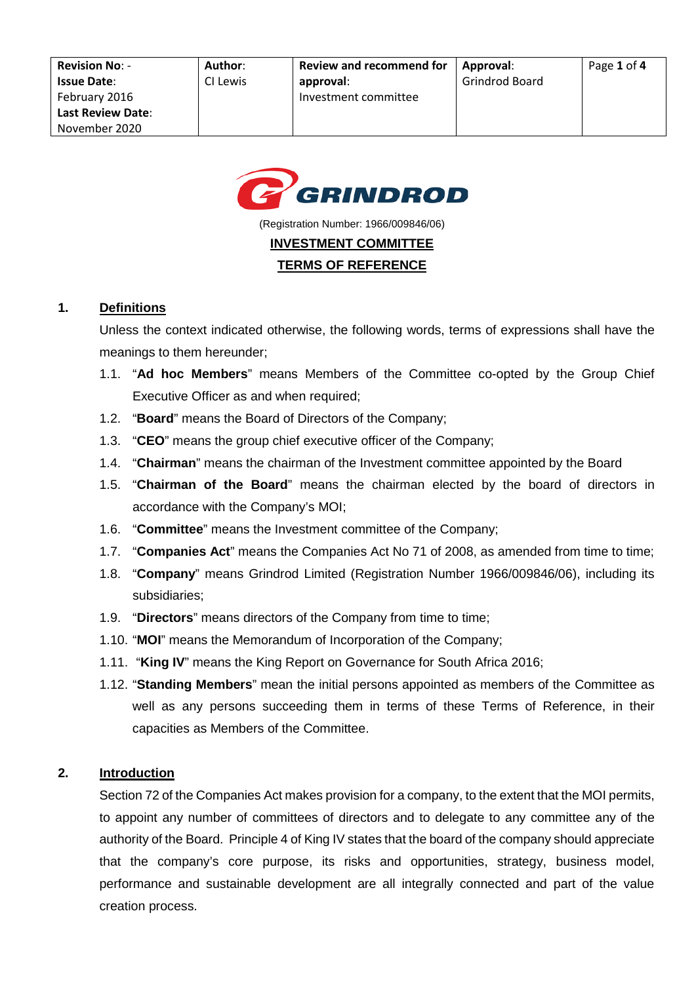

(Registration Number: 1966/009846/06)

## **INVESTMENT COMMITTEE**

#### **TERMS OF REFERENCE**

#### **1. Definitions**

Unless the context indicated otherwise, the following words, terms of expressions shall have the meanings to them hereunder;

- 1.1. "**Ad hoc Members**" means Members of the Committee co-opted by the Group Chief Executive Officer as and when required;
- 1.2. "**Board**" means the Board of Directors of the Company;
- 1.3. "**CEO**" means the group chief executive officer of the Company;
- 1.4. "**Chairman**" means the chairman of the Investment committee appointed by the Board
- 1.5. "**Chairman of the Board**" means the chairman elected by the board of directors in accordance with the Company's MOI;
- 1.6. "**Committee**" means the Investment committee of the Company;
- 1.7. "**Companies Act**" means the Companies Act No 71 of 2008, as amended from time to time;
- 1.8. "**Company**" means Grindrod Limited (Registration Number 1966/009846/06), including its subsidiaries;
- 1.9. "**Directors**" means directors of the Company from time to time;
- 1.10. "**MOI**" means the Memorandum of Incorporation of the Company;
- 1.11. "**King IV**" means the King Report on Governance for South Africa 2016;
- 1.12. "**Standing Members**" mean the initial persons appointed as members of the Committee as well as any persons succeeding them in terms of these Terms of Reference, in their capacities as Members of the Committee.

#### **2. Introduction**

Section 72 of the Companies Act makes provision for a company, to the extent that the MOI permits, to appoint any number of committees of directors and to delegate to any committee any of the authority of the Board. Principle 4 of King IV states that the board of the company should appreciate that the company's core purpose, its risks and opportunities, strategy, business model, performance and sustainable development are all integrally connected and part of the value creation process.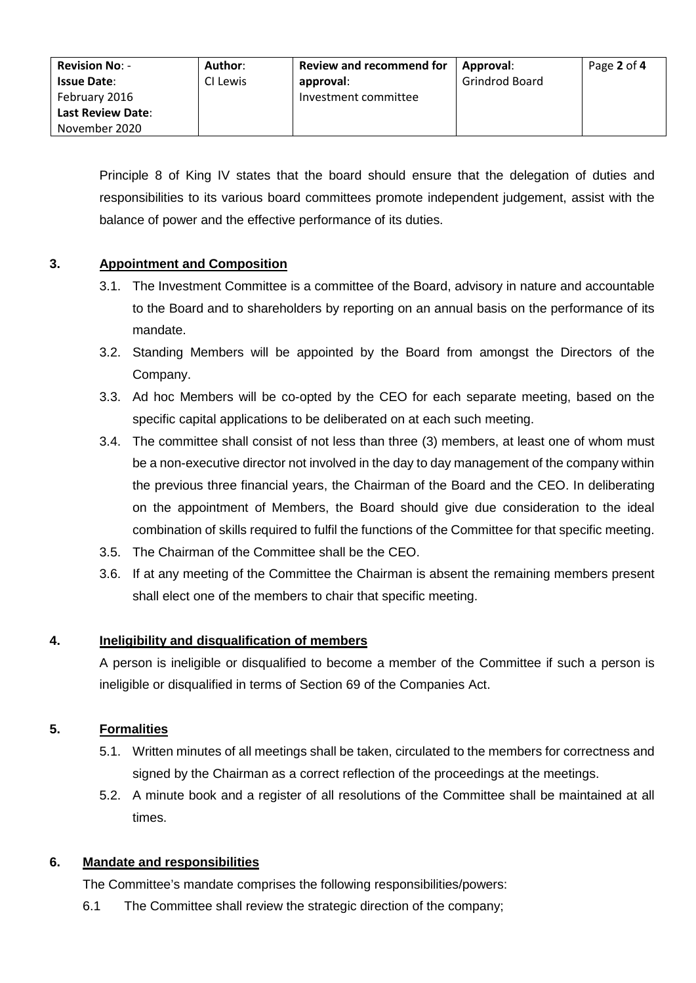| <b>Revision No: -</b>    | Author:  | <b>Review and recommend for</b> | Approval:      | Page 2 of 4 |
|--------------------------|----------|---------------------------------|----------------|-------------|
| <b>Issue Date:</b>       | CI Lewis | approval:                       | Grindrod Board |             |
| February 2016            |          | Investment committee            |                |             |
| <b>Last Review Date:</b> |          |                                 |                |             |
| November 2020            |          |                                 |                |             |

Principle 8 of King IV states that the board should ensure that the delegation of duties and responsibilities to its various board committees promote independent judgement, assist with the balance of power and the effective performance of its duties.

## **3. Appointment and Composition**

- 3.1. The Investment Committee is a committee of the Board, advisory in nature and accountable to the Board and to shareholders by reporting on an annual basis on the performance of its mandate.
- 3.2. Standing Members will be appointed by the Board from amongst the Directors of the Company.
- 3.3. Ad hoc Members will be co-opted by the CEO for each separate meeting, based on the specific capital applications to be deliberated on at each such meeting.
- 3.4. The committee shall consist of not less than three (3) members, at least one of whom must be a non-executive director not involved in the day to day management of the company within the previous three financial years, the Chairman of the Board and the CEO. In deliberating on the appointment of Members, the Board should give due consideration to the ideal combination of skills required to fulfil the functions of the Committee for that specific meeting.
- 3.5. The Chairman of the Committee shall be the CEO.
- 3.6. If at any meeting of the Committee the Chairman is absent the remaining members present shall elect one of the members to chair that specific meeting.

## **4. Ineligibility and disqualification of members**

A person is ineligible or disqualified to become a member of the Committee if such a person is ineligible or disqualified in terms of Section 69 of the Companies Act.

## **5. Formalities**

- 5.1. Written minutes of all meetings shall be taken, circulated to the members for correctness and signed by the Chairman as a correct reflection of the proceedings at the meetings.
- 5.2. A minute book and a register of all resolutions of the Committee shall be maintained at all times.

## **6. Mandate and responsibilities**

The Committee's mandate comprises the following responsibilities/powers:

6.1 The Committee shall review the strategic direction of the company;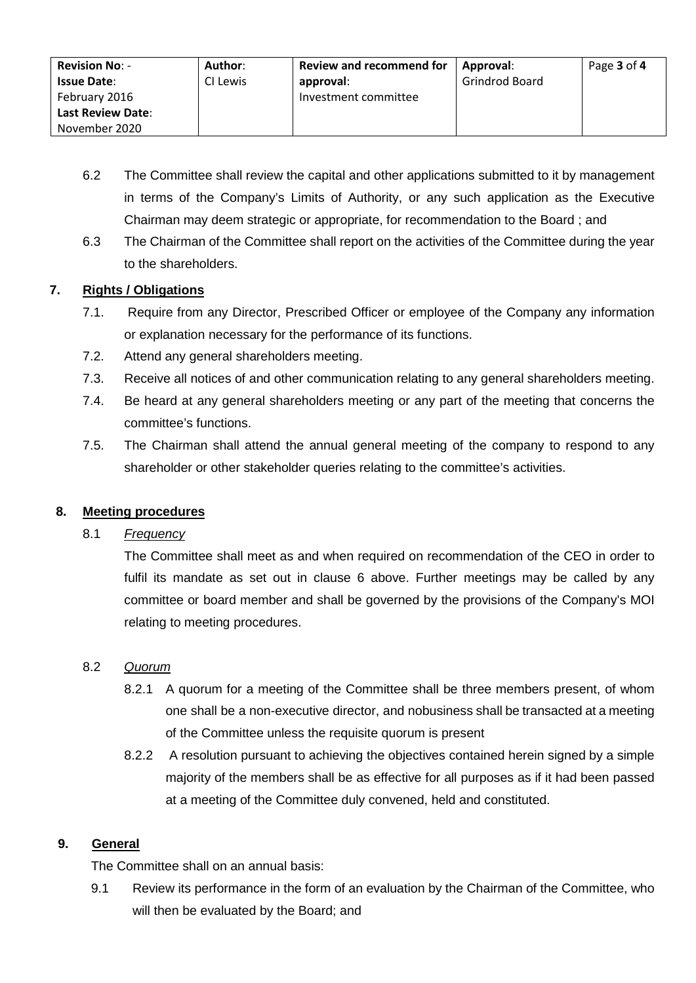| <b>Revision No: -</b>    | Author:  | <b>Review and recommend for</b> | Approval:             | Page 3 of 4 |
|--------------------------|----------|---------------------------------|-----------------------|-------------|
| <b>Issue Date:</b>       | CI Lewis | approval:                       | <b>Grindrod Board</b> |             |
| February 2016            |          | Investment committee            |                       |             |
| <b>Last Review Date:</b> |          |                                 |                       |             |
| November 2020            |          |                                 |                       |             |

- 6.2 The Committee shall review the capital and other applications submitted to it by management in terms of the Company's Limits of Authority, or any such application as the Executive Chairman may deem strategic or appropriate, for recommendation to the Board ; and
- 6.3 The Chairman of the Committee shall report on the activities of the Committee during the year to the shareholders.

# **7. Rights / Obligations**

- 7.1. Require from any Director, Prescribed Officer or employee of the Company any information or explanation necessary for the performance of its functions.
- 7.2. Attend any general shareholders meeting.
- 7.3. Receive all notices of and other communication relating to any general shareholders meeting.
- 7.4. Be heard at any general shareholders meeting or any part of the meeting that concerns the committee's functions.
- 7.5. The Chairman shall attend the annual general meeting of the company to respond to any shareholder or other stakeholder queries relating to the committee's activities.

## **8. Meeting procedures**

#### 8.1 *Frequency*

The Committee shall meet as and when required on recommendation of the CEO in order to fulfil its mandate as set out in clause 6 above. Further meetings may be called by any committee or board member and shall be governed by the provisions of the Company's MOI relating to meeting procedures.

## 8.2 *Quorum*

- 8.2.1 A quorum for a meeting of the Committee shall be three members present, of whom one shall be a non-executive director, and nobusiness shall be transacted at a meeting of the Committee unless the requisite quorum is present
- 8.2.2 A resolution pursuant to achieving the objectives contained herein signed by a simple majority of the members shall be as effective for all purposes as if it had been passed at a meeting of the Committee duly convened, held and constituted.

## **9. General**

The Committee shall on an annual basis:

9.1 Review its performance in the form of an evaluation by the Chairman of the Committee, who will then be evaluated by the Board; and